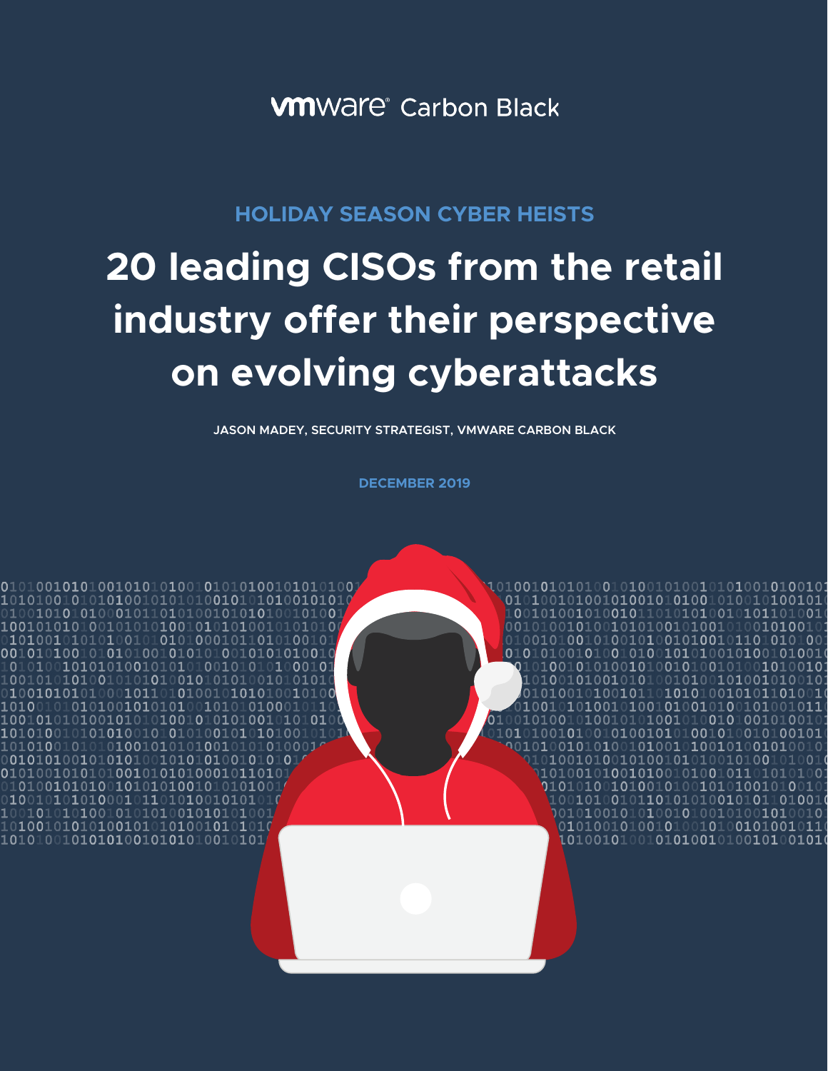**VM**Ware<sup>®</sup> Carbon Black

# **HOLIDAY SEASON CYBER HEISTS**

# **20 leading CISOs from the retail industry offer their perspective on evolving cyberattacks**

**JASON MADEY, SECURITY STRATEGIST, VMWARE CARBON BLACK** 

**DECEMBER 2019**

00101001010010110101010010101101001

 $\overline{0}1\overline{0}1\overline{0}0\overline{1}\overline{0}1\overline{0}1\overline{0}1\overline{0}0\overline{1}01\overline{0}1\overline{0}1\overline{0}0\overline{0}1\overline{0}1\overline{0}1\overline{0}1\overline{0}1$ 10101001010101001010101001010101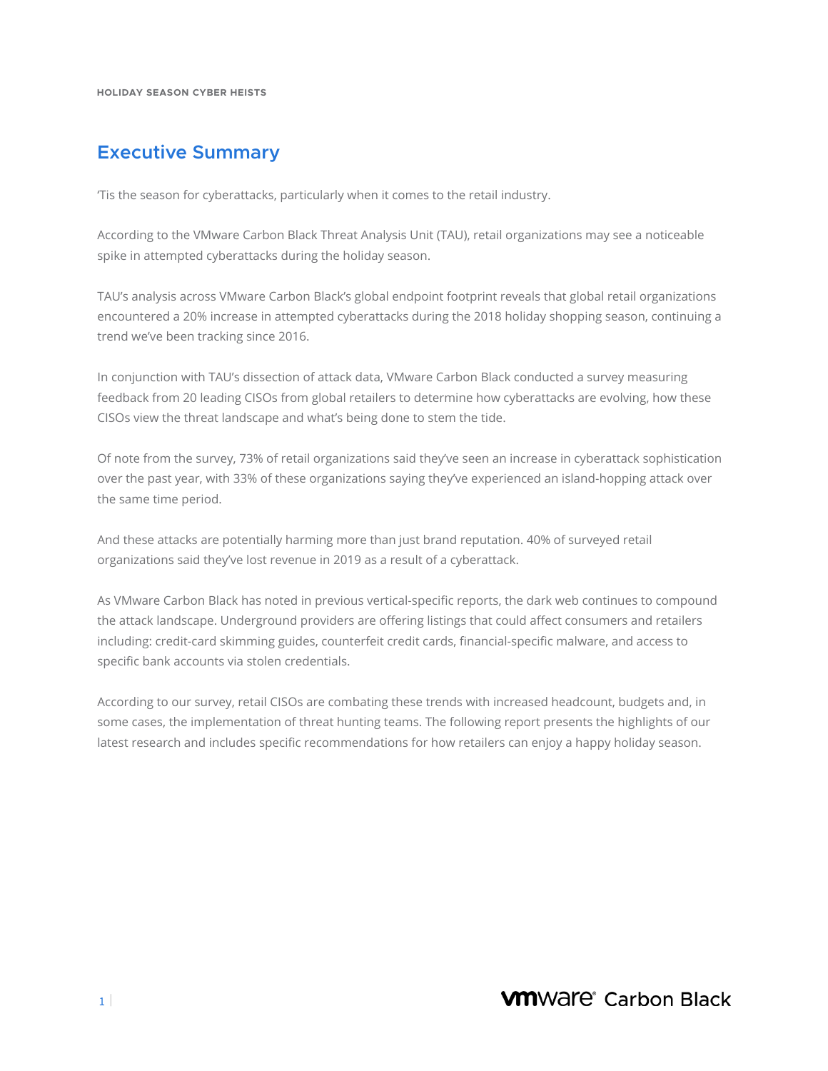# **Executive Summary**

'Tis the season for cyberattacks, particularly when it comes to the retail industry.

According to the VMware Carbon Black Threat Analysis Unit (TAU), retail organizations may see a noticeable spike in attempted cyberattacks during the holiday season.

TAU's analysis across VMware Carbon Black's global endpoint footprint reveals that global retail organizations encountered a 20% increase in attempted cyberattacks during the 2018 holiday shopping season, continuing a trend we've been tracking since 2016.

In conjunction with TAU's dissection of attack data, VMware Carbon Black conducted a survey measuring feedback from 20 leading CISOs from global retailers to determine how cyberattacks are evolving, how these CISOs view the threat landscape and what's being done to stem the tide.

Of note from the survey, 73% of retail organizations said they've seen an increase in cyberattack sophistication over the past year, with 33% of these organizations saying they've experienced an island-hopping attack over the same time period.

And these attacks are potentially harming more than just brand reputation. 40% of surveyed retail organizations said they've lost revenue in 2019 as a result of a cyberattack.

As VMware Carbon Black has noted in previous vertical-specific reports, the dark web continues to compound the attack landscape. Underground providers are offering listings that could affect consumers and retailers including: credit-card skimming guides, counterfeit credit cards, financial-specific malware, and access to specific bank accounts via stolen credentials.

According to our survey, retail CISOs are combating these trends with increased headcount, budgets and, in some cases, the implementation of threat hunting teams. The following report presents the highlights of our latest research and includes specific recommendations for how retailers can enjoy a happy holiday season.

**VM**Ware<sup>®</sup> Carbon Black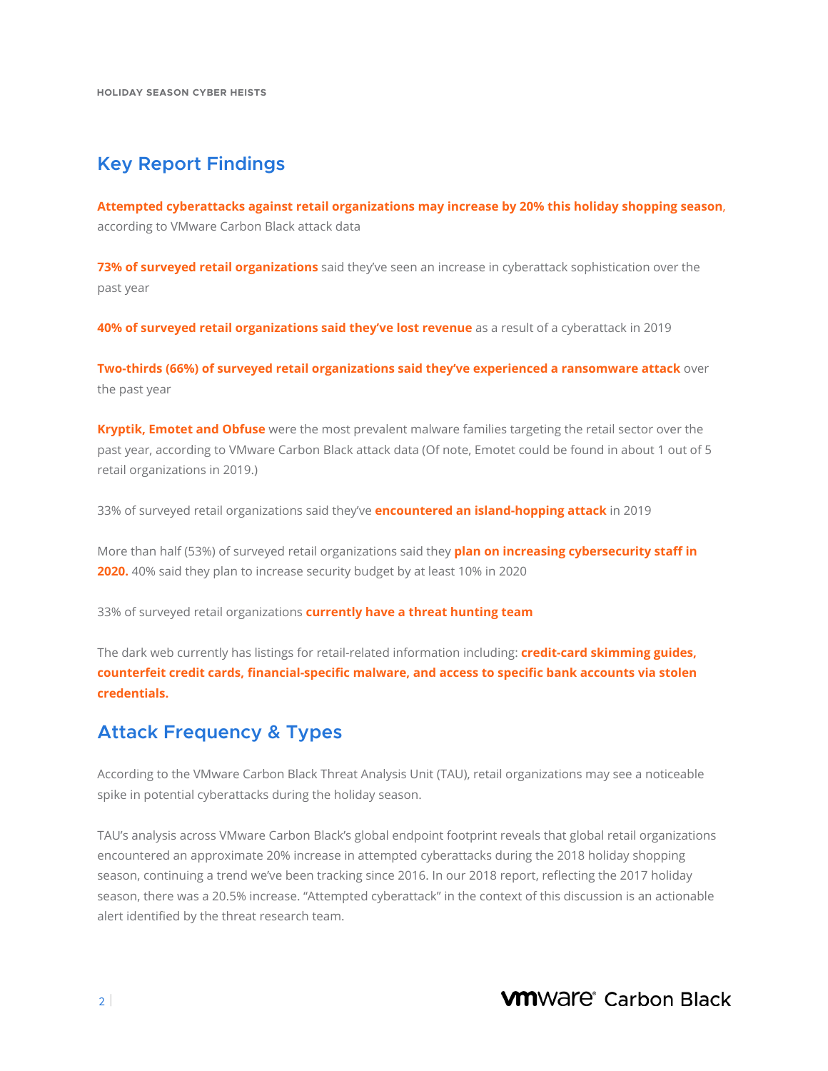## **Key Report Findings**

**Attempted cyberattacks against retail organizations may increase by 20% this holiday shopping season**, according to VMware Carbon Black attack data

**73% of surveyed retail organizations** said they've seen an increase in cyberattack sophistication over the past year

**40% of surveyed retail organizations said they've lost revenue** as a result of a cyberattack in 2019

**Two-thirds (66%) of surveyed retail organizations said they've experienced a ransomware attack** over the past year

**Kryptik, Emotet and Obfuse** were the most prevalent malware families targeting the retail sector over the past year, according to VMware Carbon Black attack data (Of note, Emotet could be found in about 1 out of 5 retail organizations in 2019.)

33% of surveyed retail organizations said they've **encountered an island-hopping attack** in 2019

More than half (53%) of surveyed retail organizations said they **plan on increasing cybersecurity staff in 2020.** 40% said they plan to increase security budget by at least 10% in 2020

33% of surveyed retail organizations **currently have a threat hunting team**

The dark web currently has listings for retail-related information including: **credit-card skimming guides, counterfeit credit cards, financial-specific malware, and access to specific bank accounts via stolen credentials.**

## **Attack Frequency & Types**

According to the VMware Carbon Black Threat Analysis Unit (TAU), retail organizations may see a noticeable spike in potential cyberattacks during the holiday season.

TAU's analysis across VMware Carbon Black's global endpoint footprint reveals that global retail organizations encountered an approximate 20% increase in attempted cyberattacks during the 2018 holiday shopping season, continuing a trend we've been tracking since 2016. In our 2018 report, reflecting the 2017 holiday season, there was a 20.5% increase. "Attempted cyberattack" in the context of this discussion is an actionable alert identified by the threat research team.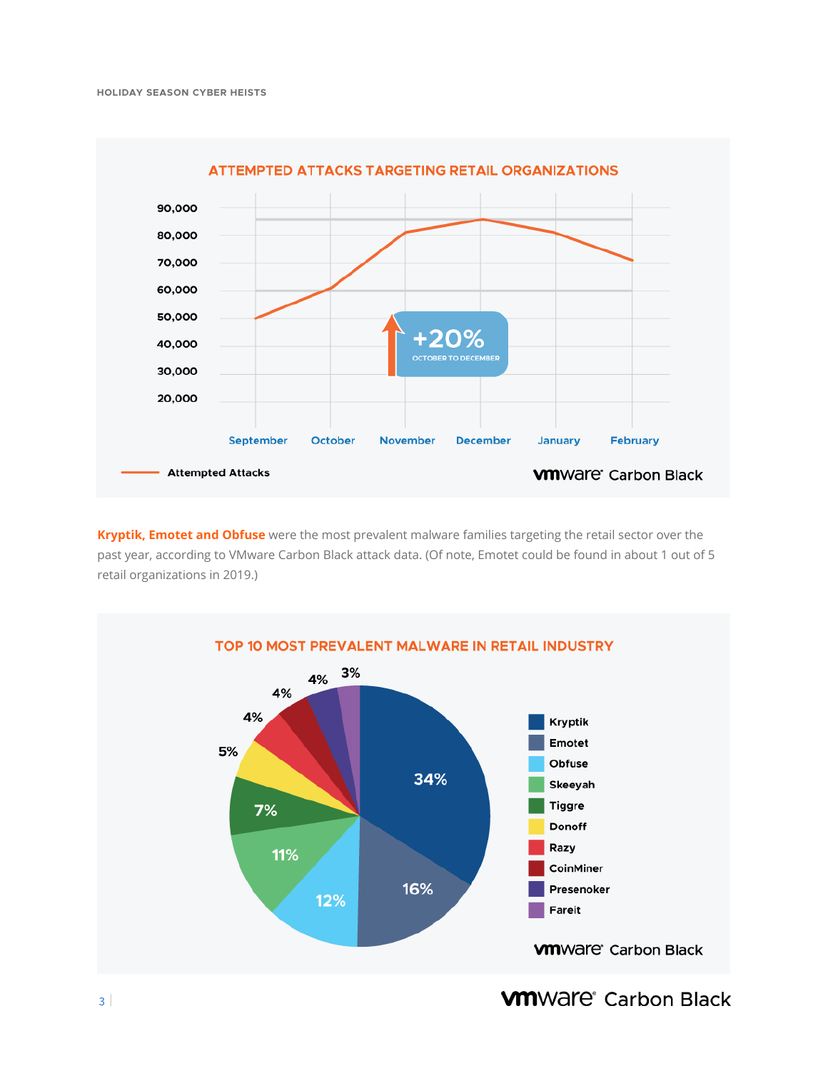

**Kryptik, Emotet and Obfuse** were the most prevalent malware families targeting the retail sector over the past year, according to VMware Carbon Black attack data. (Of note, Emotet could be found in about 1 out of 5 retail organizations in 2019.)



**WINDRE** Carbon Black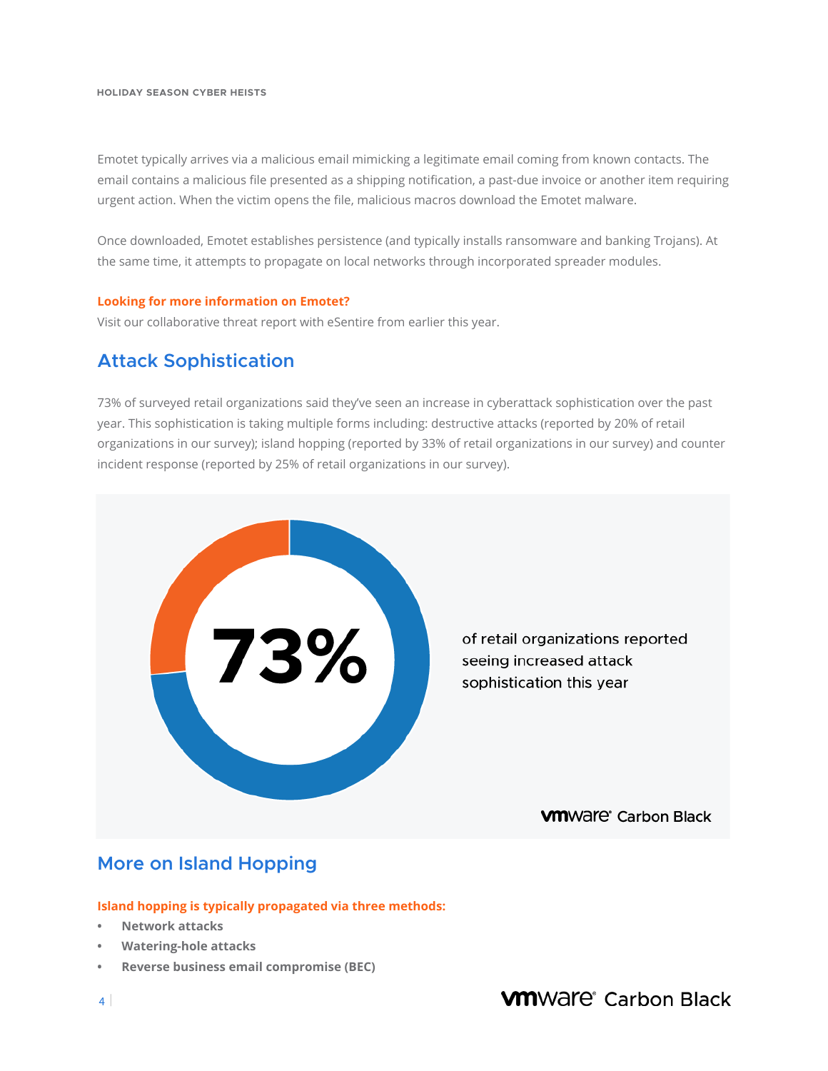Emotet typically arrives via a malicious email mimicking a legitimate email coming from known contacts. The email contains a malicious file presented as a shipping notification, a past-due invoice or another item requiring urgent action. When the victim opens the file, malicious macros download the Emotet malware.

Once downloaded, Emotet establishes persistence (and typically installs ransomware and banking Trojans). At the same time, it attempts to propagate on local networks through incorporated spreader modules.

#### **Looking for more information on Emotet?**

Visit our collaborative threat report with eSentire from earlier this year.

## **Attack Sophistication**

73% of surveyed retail organizations said they've seen an increase in cyberattack sophistication over the past year. This sophistication is taking multiple forms including: destructive attacks (reported by 20% of retail organizations in our survey); island hopping (reported by 33% of retail organizations in our survey) and counter incident response (reported by 25% of retail organizations in our survey).



## **More on Island Hopping**

**Island hopping is typically propagated via three methods:**

- **• Network attacks**
- **• Watering-hole attacks**
- **• Reverse business email compromise (BEC)**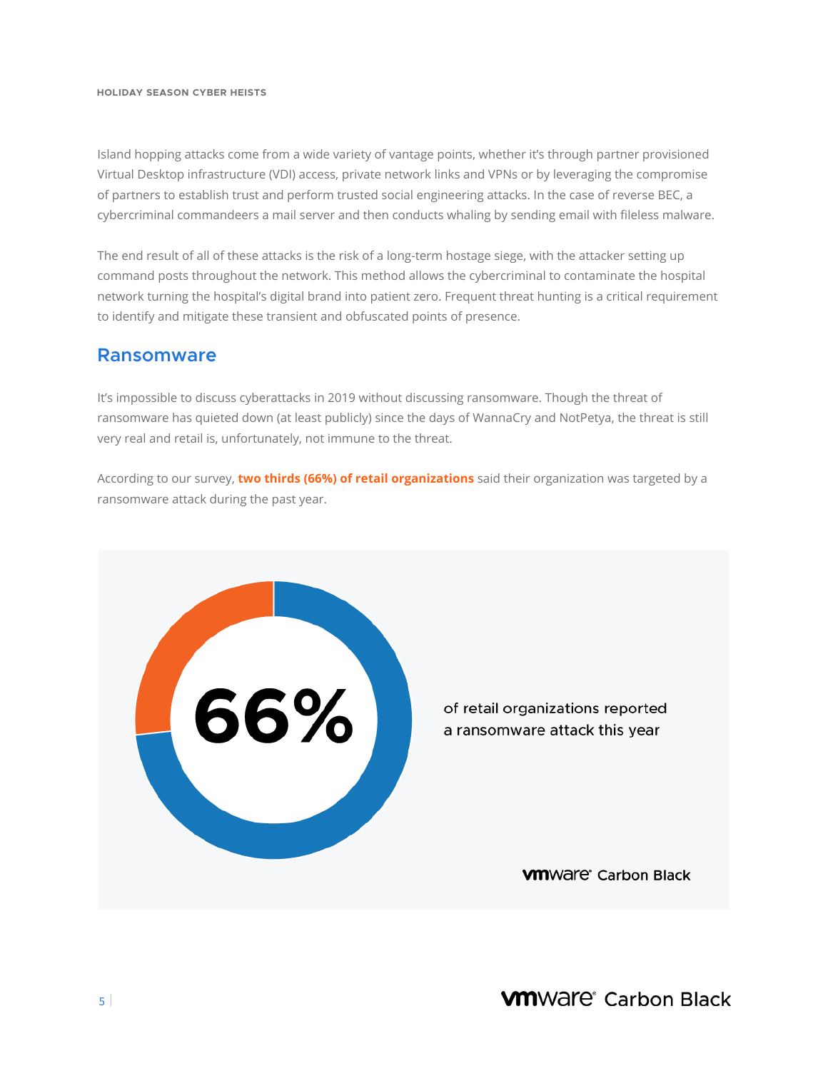Island hopping attacks come from a wide variety of vantage points, whether it's through partner provisioned Virtual Desktop infrastructure (VDI) access, private network links and VPNs or by leveraging the compromise of partners to establish trust and perform trusted social engineering attacks. In the case of reverse BEC, a cybercriminal commandeers a mail server and then conducts whaling by sending email with fileless malware.

The end result of all of these attacks is the risk of a long-term hostage siege, with the attacker setting up command posts throughout the network. This method allows the cybercriminal to contaminate the hospital network turning the hospital's digital brand into patient zero. Frequent threat hunting is a critical requirement to identify and mitigate these transient and obfuscated points of presence.

### **Ransomware**

It's impossible to discuss cyberattacks in 2019 without discussing ransomware. Though the threat of ransomware has quieted down (at least publicly) since the days of WannaCry and NotPetya, the threat is still very real and retail is, unfortunately, not immune to the threat.

According to our survey, **two thirds (66%) of retail organizations** said their organization was targeted by a ransomware attack during the past year.



of retail organizations reported a ransomware attack this year

**VM**Ware<sup>®</sup> Carbon Black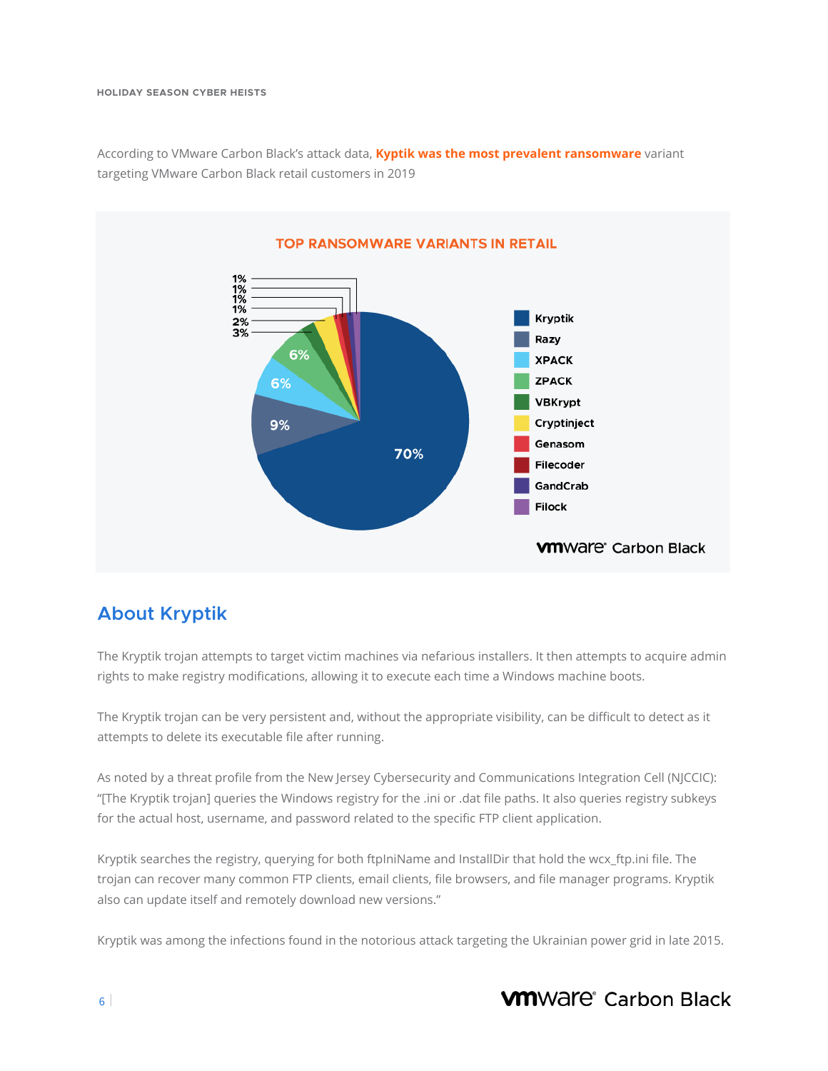According to VMware Carbon Black's attack data, **Kyptik was the most prevalent ransomware** variant targeting VMware Carbon Black retail customers in 2019



# **About Kryptik**

The Kryptik trojan attempts to target victim machines via nefarious installers. It then attempts to acquire admin rights to make registry modifications, allowing it to execute each time a Windows machine boots.

The Kryptik trojan can be very persistent and, without the appropriate visibility, can be difficult to detect as it attempts to delete its executable file after running.

Ĭ As noted by a threat profile from the New Jersey Cybersecurity and Communications Integration Cell (NJCCIC): "[The Kryptik trojan] queries the Windows registry for the .ini or .dat file paths. It also queries registry subkeys for the actual host, username, and password related to the specific FTP client application.

Kryptik searches the registry, querying for both ftpIniName and InstallDir that hold the wcx\_ftp.ini file. The trojan can recover many common FTP clients, email clients, file browsers, and file manager programs. Kryptik also can update itself and remotely download new versions."

Kryptik was among the infections found in the notorious attack targeting the Ukrainian power grid in late 2015.

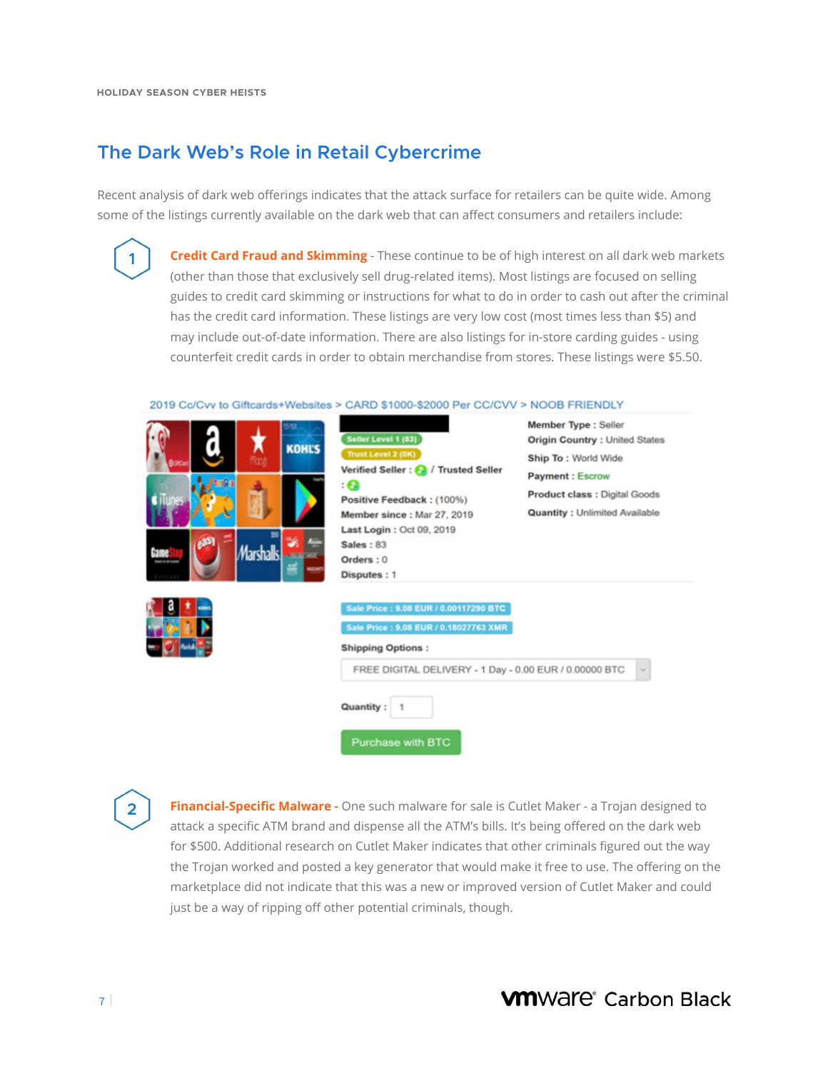**1**

## **The Dark Web's Role in Retail Cybercrime**

Recent analysis of dark web offerings indicates that the attack surface for retailers can be quite wide. Among some of the listings currently available on the dark web that can affect consumers and retailers include:

> **Credit Card Fraud and Skimming** - These continue to be of high interest on all dark web markets (other than those that exclusively sell drug-related items). Most listings are focused on selling guides to credit card skimming or instructions for what to do in order to cash out after the criminal has the credit card information. These listings are very low cost (most times less than \$5) and may include out-of-date information. There are also listings for in-store carding guides - using counterfeit credit cards in order to obtain merchandise from stores. These listings were \$5.50.

2019 Cc/Cvv to Giftcards+Websites > CARD \$1000-\$2000 Per CC/CVV > NOOB FRIENDLY

|                                                               | Seller Level 1 (83)                                                                                                                                                                                                             | Member Type : Seller<br><b>Origin Country: United States</b>                                    |
|---------------------------------------------------------------|---------------------------------------------------------------------------------------------------------------------------------------------------------------------------------------------------------------------------------|-------------------------------------------------------------------------------------------------|
| <b>KOHL'S</b>                                                 | Trust Level 2 (0K)<br>Verified Seller : (2) / Trusted Seller                                                                                                                                                                    | Ship To: World Wide                                                                             |
| Game<br>Marshalls.<br><b>JANES WAS</b><br><b>FORD STREAMS</b> | : О<br>Positive Feedback: (100%)<br>Member since: Mar 27, 2019<br>Last Login: Oct 09, 2019<br><b>Sales: 83</b><br>Orders: 0<br>Disputes: 1                                                                                      | <b>Payment: Escrow</b><br>Product class : Digital Goods<br><b>Quantity: Unlimited Available</b> |
|                                                               | Sale Price : 9.08 EUR / 0.00117290 BTC<br>Sale Price : 9.08 EUR / 0.18027763 XMR<br><b>Shipping Options:</b><br>FREE DIGITAL DELIVERY - 1 Day - 0.00 EUR / 0.00000 BTC<br><b>Quantity:</b><br>$\mathbf{1}$<br>Purchase with BTC | $\omega$                                                                                        |

 **Financial-Specific Malware -** One such malware for sale is Cutlet Maker - a Trojan designed to attack a specific ATM brand and dispense all the ATM's bills. It's being offered on the dark web for \$500. Additional research on Cutlet Maker indicates that other criminals figured out the way the Trojan worked and posted a key generator that would make it free to use. The offering on the marketplace did not indicate that this was a new or improved version of Cutlet Maker and could just be a way of ripping off other potential criminals, though.

**2**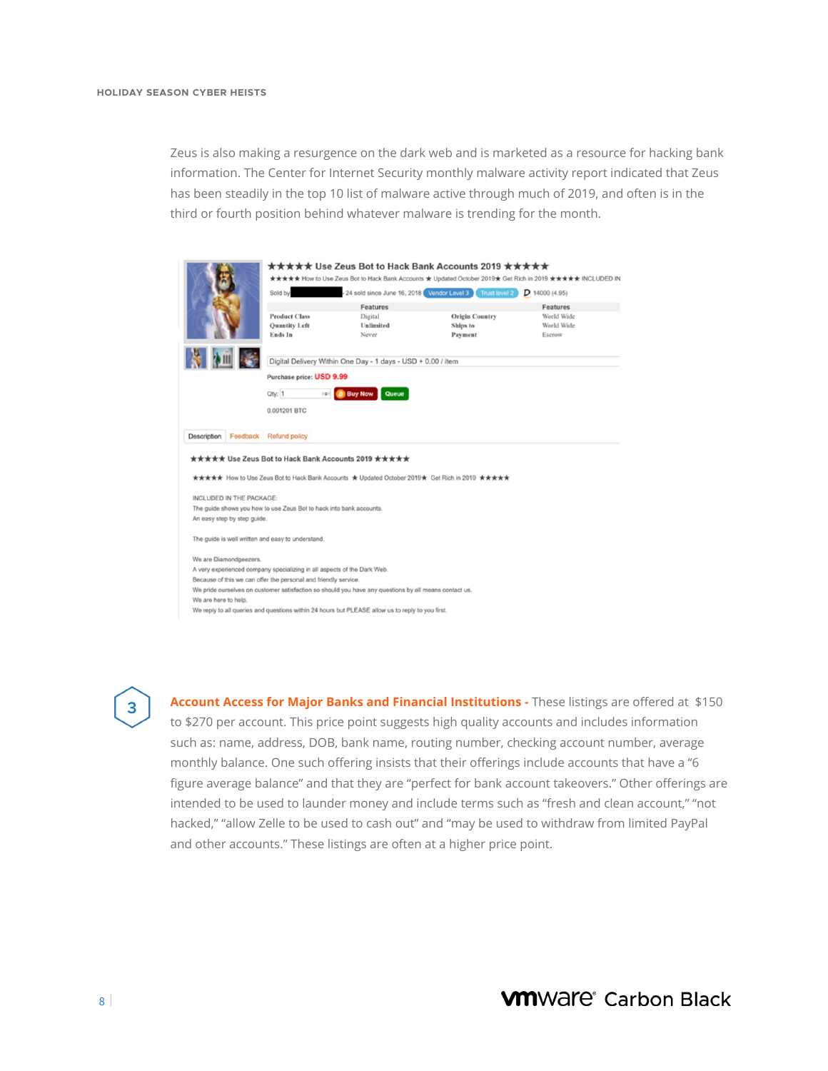Zeus is also making a resurgence on the dark web and is marketed as a resource for hacking bank information. The Center for Internet Security monthly malware activity report indicated that Zeus has been steadily in the top 10 list of malware active through much of 2019, and often is in the third or fourth position behind whatever malware is trending for the month.

|                                         | Sold by                                                                 | - 24 sold since June 16, 2018 Vendor Level 3                                                          | Trust level 2                                                                                   | $D$ 14000 (4.95) |
|-----------------------------------------|-------------------------------------------------------------------------|-------------------------------------------------------------------------------------------------------|-------------------------------------------------------------------------------------------------|------------------|
|                                         |                                                                         | <b>Features</b>                                                                                       |                                                                                                 | <b>Features</b>  |
|                                         | <b>Product Class</b>                                                    | Digital                                                                                               | <b>Origin Country</b>                                                                           | World Wide       |
|                                         | <b>Quantity Left</b>                                                    | Unlimited                                                                                             | Ships to                                                                                        | World Wide       |
|                                         | Ends In                                                                 | Never                                                                                                 | Payment                                                                                         | Escrow           |
|                                         |                                                                         | Digital Delivery Within One Day - 1 days - USD + 0.00 / item                                          |                                                                                                 |                  |
|                                         | Purchase price: USD 9.99                                                |                                                                                                       |                                                                                                 |                  |
|                                         |                                                                         |                                                                                                       |                                                                                                 |                  |
|                                         | Oty: 1<br>$\frac{1}{2}$                                                 | <b>Buy Now</b><br>Queue                                                                               |                                                                                                 |                  |
|                                         | 0.001201 BTC                                                            |                                                                                                       |                                                                                                 |                  |
|                                         |                                                                         |                                                                                                       |                                                                                                 |                  |
|                                         |                                                                         |                                                                                                       |                                                                                                 |                  |
|                                         | Feedback Refund policy                                                  |                                                                                                       |                                                                                                 |                  |
| Description<br>INCLUDED IN THE PACKAGE: | ***** Use Zeus Bot to Hack Bank Accounts 2019 *****                     |                                                                                                       | ***** How to Use Zeus Bot to Hack Bank Accounts * Updated October 2019 * Get Rich in 2019 ***** |                  |
|                                         | The guide shows you how to use Zeus Bot to hack into bank accounts.     |                                                                                                       |                                                                                                 |                  |
| An easy step by step guide.             |                                                                         |                                                                                                       |                                                                                                 |                  |
|                                         | The guide is well written and easy to understand.                       |                                                                                                       |                                                                                                 |                  |
| We are Diamondgeezers.                  |                                                                         |                                                                                                       |                                                                                                 |                  |
|                                         | A very experienced company specializing in all aspects of the Dark Web. |                                                                                                       |                                                                                                 |                  |
|                                         | Because of this we can offer the personal and friendly service.         |                                                                                                       |                                                                                                 |                  |
| We are here to help.                    |                                                                         | We pride ourselves on customer satisfaction so should you have any questions by all means contact us. |                                                                                                 |                  |

**3**

 intended to be used to launder money and include terms such as "fresh and clean account," "not **Account Access for Major Banks and Financial Institutions -** These listings are offered at \$150 to \$270 per account. This price point suggests high quality accounts and includes information such as: name, address, DOB, bank name, routing number, checking account number, average monthly balance. One such offering insists that their offerings include accounts that have a "6 figure average balance" and that they are "perfect for bank account takeovers." Other offerings are hacked," "allow Zelle to be used to cash out" and "may be used to withdraw from limited PayPal and other accounts." These listings are often at a higher price point.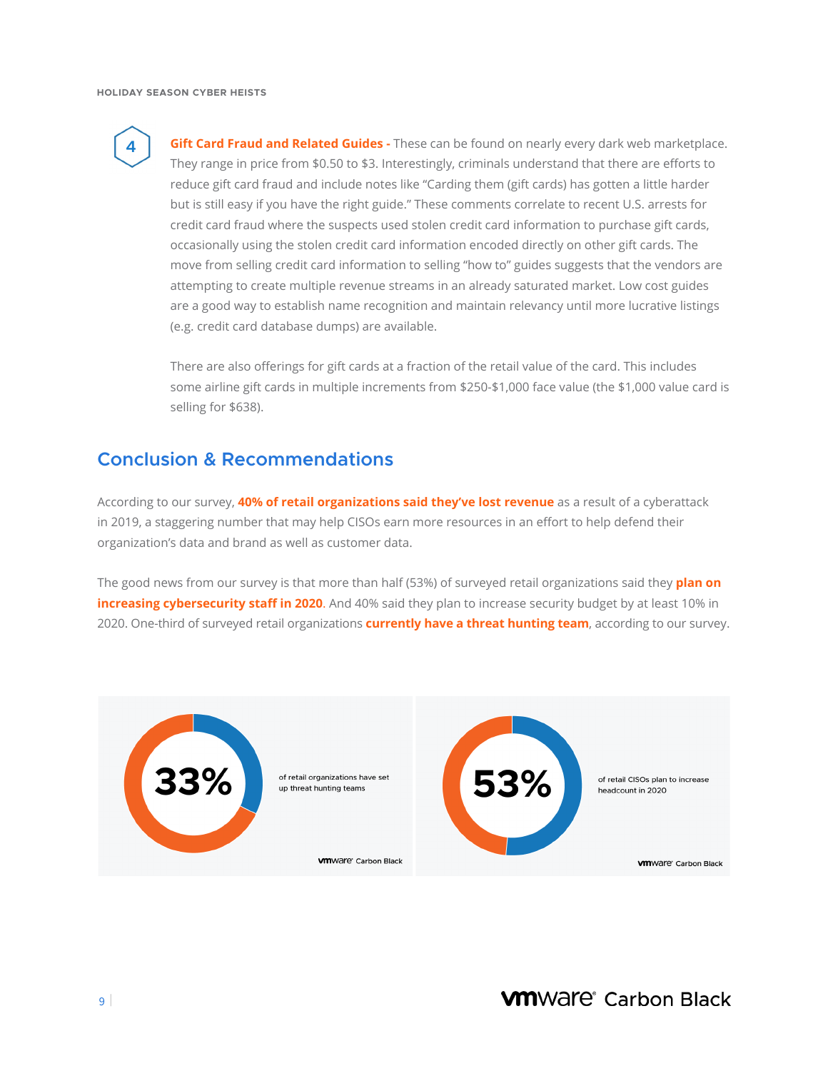

**Gift Card Fraud and Related Guides -** These can be found on nearly every dark web marketplace. They range in price from \$0.50 to \$3. Interestingly, criminals understand that there are efforts to reduce gift card fraud and include notes like "Carding them (gift cards) has gotten a little harder but is still easy if you have the right guide." These comments correlate to recent U.S. arrests for credit card fraud where the suspects used stolen credit card information to purchase gift cards, occasionally using the stolen credit card information encoded directly on other gift cards. The move from selling credit card information to selling "how to" guides suggests that the vendors are attempting to create multiple revenue streams in an already saturated market. Low cost guides are a good way to establish name recognition and maintain relevancy until more lucrative listings (e.g. credit card database dumps) are available.

There are also offerings for gift cards at a fraction of the retail value of the card. This includes some airline gift cards in multiple increments from \$250-\$1,000 face value (the \$1,000 value card is selling for \$638).

## **Conclusion & Recommendations**

According to our survey, **40% of retail organizations said they've lost revenue** as a result of a cyberattack in 2019, a staggering number that may help CISOs earn more resources in an effort to help defend their organization's data and brand as well as customer data.

The good news from our survey is that more than half (53%) of surveyed retail organizations said they **plan on increasing cybersecurity staff in 2020**. And 40% said they plan to increase security budget by at least 10% in 2020. One-third of surveyed retail organizations **currently have a threat hunting team**, according to our survey.

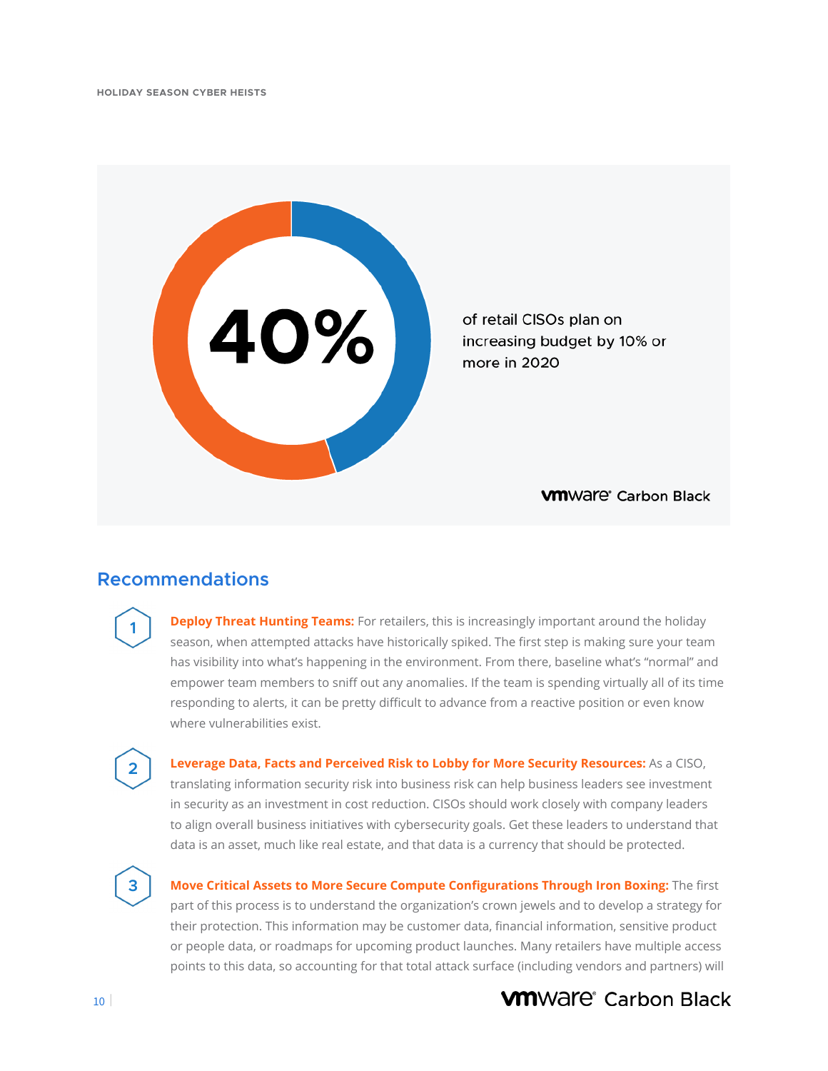

## **Recommendations**

**1**

**2**

**3**

**Deploy Threat Hunting Teams:** For retailers, this is increasingly important around the holiday season, when attempted attacks have historically spiked. The first step is making sure your team has visibility into what's happening in the environment. From there, baseline what's "normal" and empower team members to sniff out any anomalies. If the team is spending virtually all of its time responding to alerts, it can be pretty difficult to advance from a reactive position or even know where vulnerabilities exist.

 in security as an investment in cost reduction. CISOs should work closely with company leaders **Leverage Data, Facts and Perceived Risk to Lobby for More Security Resources:** As a CISO, translating information security risk into business risk can help business leaders see investment to align overall business initiatives with cybersecurity goals. Get these leaders to understand that data is an asset, much like real estate, and that data is a currency that should be protected.

**Move Critical Assets to More Secure Compute Configurations Through Iron Boxing:** The first part of this process is to understand the organization's crown jewels and to develop a strategy for their protection. This information may be customer data, financial information, sensitive product or people data, or roadmaps for upcoming product launches. Many retailers have multiple access points to this data, so accounting for that total attack surface (including vendors and partners) will

# **VM**Ware<sup>®</sup> Carbon Black